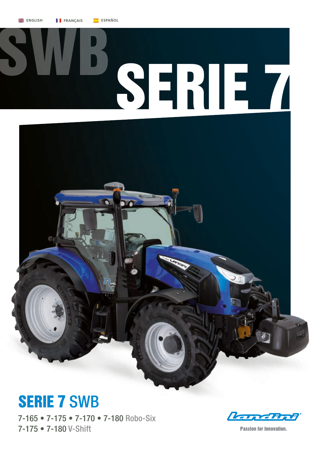



## SERIE 7 SWB

7-165 • 7-175 • 7-170 • 7-180 Robo-Six 7-175 • 7-180 V-Shift

**Land Bot** 

**Passion for Innovation.**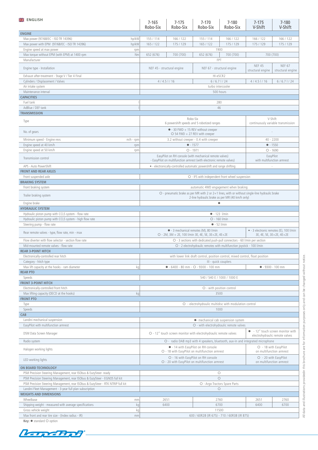| <b>ENGLISH</b>                                                                            |       | $7 - 165$<br>Robo-Six                                                                                                                             | $7 - 175$<br>Robo-Six                  | $7 - 170$<br>Robo-Six                                                          | $7 - 180$<br>Robo-Six                                               | $7 - 175$<br>V-Shift               | $7 - 180$<br>V-Shift        |
|-------------------------------------------------------------------------------------------|-------|---------------------------------------------------------------------------------------------------------------------------------------------------|----------------------------------------|--------------------------------------------------------------------------------|---------------------------------------------------------------------|------------------------------------|-----------------------------|
| <b>ENGINE</b>                                                                             |       |                                                                                                                                                   |                                        |                                                                                |                                                                     |                                    |                             |
| Max power (97/68/EC - ISO TR 14396)                                                       | hp/kW | 155 / 114                                                                                                                                         | 166 / 122                              | 155 / 114                                                                      | 166 / 122                                                           | 166 / 122                          | 166 / 122                   |
| Max power with EPM (97/68/EC - ISO TR 14396)                                              | hp/kW | 165 / 122                                                                                                                                         | 175 / 129                              | 165 / 122                                                                      | 175 / 129                                                           | 175 / 129                          | 175 / 129                   |
| Engine speed at max power                                                                 | rpm   |                                                                                                                                                   |                                        | 1900                                                                           |                                                                     |                                    |                             |
| Max torque without EPM (with EPM) at 1400 rpm<br>Manufacturer                             | Nm    | 652 (676)                                                                                                                                         | 700 (700)                              | 652 (676)<br>FPT                                                               | 700 (700)                                                           | 700 (700)                          |                             |
| Engine type - Installation                                                                |       | NEF 45 - structural engine                                                                                                                        |                                        | NEF 67 - structural engine                                                     |                                                                     | <b>NEF 45</b><br>structural engine | NEF 67<br>structural engine |
| Exhaust after-treatment - Stage V / Tier 4 Final                                          |       |                                                                                                                                                   |                                        | HI-eSCR2                                                                       |                                                                     |                                    |                             |
| Cylinders / Displacement / Valves                                                         |       |                                                                                                                                                   | $4/4.5$ $1/16$                         | $6/6.7$   $/24$                                                                |                                                                     | $4/4.5$ $1/16$                     | $6/6.7$ $1/24$              |
| Air intake system                                                                         |       |                                                                                                                                                   |                                        | turbo intercooler                                                              |                                                                     |                                    |                             |
| Maintenance interval                                                                      |       |                                                                                                                                                   |                                        | 500 hours                                                                      |                                                                     |                                    |                             |
| <b>CAPACITIES</b>                                                                         |       |                                                                                                                                                   |                                        |                                                                                |                                                                     |                                    |                             |
| Fuel tank<br>AdBlue / DEF tank                                                            |       |                                                                                                                                                   |                                        | 280<br>46                                                                      |                                                                     |                                    |                             |
| <b>TRANSMISSION</b>                                                                       |       |                                                                                                                                                   |                                        |                                                                                |                                                                     |                                    |                             |
|                                                                                           |       |                                                                                                                                                   | Robo-Six                               |                                                                                |                                                                     | V-Shift                            |                             |
| Type                                                                                      |       | 6 powershift speeds and 5 robotized ranges<br>$\bullet$ - 30 FWD + 15 REV without creeper                                                         |                                        |                                                                                | continuously variable transmission                                  |                                    |                             |
| No. of gears                                                                              |       | $O$ 54 FWD + 27 REV with creeper                                                                                                                  |                                        |                                                                                |                                                                     |                                    |                             |
| Minimum speed - Engine revs<br>$m/h$ - rpm                                                |       |                                                                                                                                                   | 3.2 without creeper - 0.4 with creeper |                                                                                |                                                                     | $40 - 2200$                        |                             |
| Engine speed at 40 km/h                                                                   | rpm   |                                                                                                                                                   |                                        | $-1577$<br>$O - 1971$                                                          |                                                                     | $-1550$                            |                             |
| Engine speed at 50 km/h                                                                   | rpm   |                                                                                                                                                   |                                        | EasyPilot on RH console (with mechanical remote valves)                        |                                                                     | $O - 1690$<br>EasyPilot            |                             |
| Transmission control                                                                      |       |                                                                                                                                                   |                                        | - EasyPilot on multifunction armrest (with electronic remote valves)           |                                                                     | with multifunction armrest         |                             |
| APS - Auto PowerShift<br><b>FRONT AND REAR AXLES</b>                                      |       |                                                                                                                                                   |                                        | • - electronically-controlled automatic powershift and range shifting          |                                                                     |                                    |                             |
| Front suspended axle                                                                      |       |                                                                                                                                                   |                                        | O - IFS with independent front wheel suspension                                |                                                                     |                                    |                             |
| <b>BRAKING SYSTEM</b>                                                                     |       |                                                                                                                                                   |                                        |                                                                                |                                                                     |                                    |                             |
| Front braking system                                                                      |       |                                                                                                                                                   |                                        | automatic 4WD engagement when braking                                          |                                                                     |                                    |                             |
| Trailer braking system                                                                    |       | O - pneumatic brake as per MR with 2 or 2+1 lines, with or without single-line hydraulic brake<br>2-line hydraulic brake as per MR (40 km/h only) |                                        |                                                                                |                                                                     |                                    |                             |
| Engine brake                                                                              |       |                                                                                                                                                   |                                        | $\bullet$                                                                      |                                                                     |                                    |                             |
| <b>HYDRAULIC SYSTEM</b>                                                                   |       |                                                                                                                                                   |                                        |                                                                                |                                                                     |                                    |                             |
| Hydraulic piston pump with CCLS system - flow rate                                        |       |                                                                                                                                                   |                                        | $-123$ l/min                                                                   |                                                                     |                                    |                             |
| Hydraulic piston pump with CCLS system - high flow rate<br>Steering pump - flow rate      |       |                                                                                                                                                   |                                        | O - 160 l/min<br>$-52$ l/min                                                   |                                                                     |                                    |                             |
| Rear remote valves - type, flow rate, min - max                                           |       | • - 3 mechanical remotes (M), 80 l/min<br>O - 2M, 3M + 2E, 100 l/min 3E, 4E, 5E, 3E+2E, 4E+2E                                                     |                                        |                                                                                | • - 3 electronic remotes (E), 100 l/min<br>3E, 4E, 5E, 3E+2E, 4E+2E |                                    |                             |
| Flow diverter with flow selector - section flow rate                                      |       | O - 3 sections with dedicated push-pull connectors - 60 l/min per section                                                                         |                                        |                                                                                |                                                                     |                                    |                             |
| Mid-mounted remote valves - flow rate                                                     |       | O - 2 electrohydraulic remotes with multifunction joystick - 100 l/min                                                                            |                                        |                                                                                |                                                                     |                                    |                             |
| <b>REAR 3-POINT HITCH</b>                                                                 |       |                                                                                                                                                   |                                        |                                                                                |                                                                     |                                    |                             |
| Electronically-controlled rear hitch                                                      |       |                                                                                                                                                   |                                        | with lower link draft control, position control, mixed control, float position |                                                                     |                                    |                             |
| Category - hitch type                                                                     |       | III - quick couplers                                                                                                                              |                                        |                                                                                |                                                                     |                                    |                             |
| Max lift capacity at the hooks - ram diameter<br><b>REAR PTO</b>                          | kq    | $-6400 - 80$ mm $ O - 9300 - 100$ mm<br>$\bullet$ - 9300 - 100 mm                                                                                 |                                        |                                                                                |                                                                     |                                    |                             |
| Speeds                                                                                    |       |                                                                                                                                                   |                                        | 540 / 540 E / 1000 / 1000 E                                                    |                                                                     |                                    |                             |
| <b>FRONT 3-POINT HITCH</b>                                                                |       |                                                                                                                                                   |                                        |                                                                                |                                                                     |                                    |                             |
| Electronically-controlled front hitch                                                     |       | O - with position control                                                                                                                         |                                        |                                                                                |                                                                     |                                    |                             |
| Max lifting capacity (OECD at the hooks)                                                  | kg    |                                                                                                                                                   |                                        | 3500                                                                           |                                                                     |                                    |                             |
| <b>FRONT PTO</b>                                                                          |       |                                                                                                                                                   |                                        |                                                                                |                                                                     |                                    |                             |
| Type<br>Speeds                                                                            |       | O - electrohydraulic multidisc with modulation control<br>1000                                                                                    |                                        |                                                                                |                                                                     |                                    |                             |
| CAB                                                                                       |       |                                                                                                                                                   |                                        |                                                                                |                                                                     |                                    |                             |
| Landini mechanical suspension                                                             |       |                                                                                                                                                   |                                        | • mechanical cab suspension system                                             |                                                                     |                                    |                             |
| EasyPilot with multifunction armrest                                                      |       | O - with electrohydraulic remote valves                                                                                                           |                                        |                                                                                |                                                                     |                                    |                             |
| DSM Data Screen Manager                                                                   |       | O - 12" touch screen monitor with electrohydraulic remote valves                                                                                  |                                        |                                                                                | - 12" touch screen monitor with<br>electrohydraulic remote valves   |                                    |                             |
| Radio system                                                                              |       | O - radio DAB mp3 with 4 speakers, bluetooth, aux-in and integrated microphone                                                                    |                                        |                                                                                |                                                                     |                                    |                             |
| Halogen working lights                                                                    |       | • - 14 with EasyPilot on RH console<br>O - 18 with EasyPilot on multifunction armrest                                                             |                                        |                                                                                | O - 18 with EasyPilot<br>on multifunction armrest                   |                                    |                             |
| LED working lights                                                                        |       | O - 16 with EasyPilot on RH console<br>O - 20 with EasyPilot on multifunction armrest                                                             |                                        |                                                                                | O - 20 with EasyPilot<br>on multifunction armrest                   |                                    |                             |
| ON BOARD TECHNOLOGY                                                                       |       |                                                                                                                                                   |                                        |                                                                                |                                                                     |                                    |                             |
| PSM Precision Steering Management, rear ISObus & EazySteer- ready                         |       | $\circ$                                                                                                                                           |                                        |                                                                                |                                                                     |                                    |                             |
| PSM Precision Steering Management, rear ISObus & EazySteer - EGNOS full kit               |       | $\circ$                                                                                                                                           |                                        |                                                                                |                                                                     |                                    |                             |
| PSM Precision Steering Management, rear ISObus & EazySteer - RTK NTRIP full kit           |       | O - Argo Tractors Spare Parts                                                                                                                     |                                        |                                                                                |                                                                     |                                    |                             |
| Landini Fleet Management - 3-year full plan subscription<br><b>WEIGHTS AND DIMENSIONS</b> |       |                                                                                                                                                   |                                        | $\circ$                                                                        |                                                                     |                                    |                             |
| Wheelbase                                                                                 | mm    | 2651                                                                                                                                              |                                        | 2760                                                                           |                                                                     | 2651                               | 2760                        |
| Shipping weight - measured with average specifications                                    | kg    |                                                                                                                                                   | 6400                                   | 6700                                                                           |                                                                     | 6400                               | 6700                        |
| Gross vehicle weight                                                                      | kg    |                                                                                                                                                   |                                        | 11500                                                                          |                                                                     |                                    |                             |
| Max front and rear tire size - (Index radius - IR)                                        | mm    |                                                                                                                                                   |                                        | 600 / 60R28 (IR 675) - 710 / 60R38 (IR 875)                                    |                                                                     |                                    |                             |

**Key:** ● standard ○ option

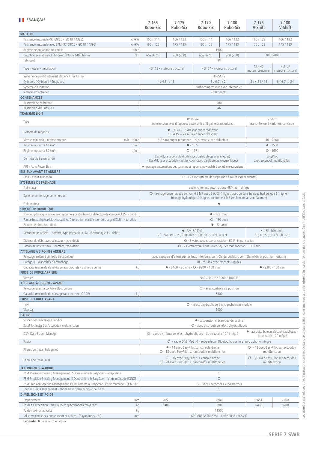| <b>FRANÇAIS</b>                                                                                 | $7 - 165$                                                                                                                     | $7 - 175$                                                                                                                                         | $7 - 170$                                                                 | $7 - 180$                                                             | $7-175$                                      | $7 - 180$                          |  |
|-------------------------------------------------------------------------------------------------|-------------------------------------------------------------------------------------------------------------------------------|---------------------------------------------------------------------------------------------------------------------------------------------------|---------------------------------------------------------------------------|-----------------------------------------------------------------------|----------------------------------------------|------------------------------------|--|
| <b>MOTEUR</b>                                                                                   | Robo-Six                                                                                                                      | Robo-Six                                                                                                                                          | Robo-Six                                                                  | Robo-Six                                                              | V-Shift                                      | V-Shift                            |  |
| Puissance maximale (97/68/CE - ISO TR 14396)<br>ch/kW                                           | 155 / 114                                                                                                                     | 166 / 122                                                                                                                                         | 155 / 114                                                                 | 166 / 122                                                             | 166 / 122                                    | 166 / 122                          |  |
| Puissance maximale avec EPM (97/68/CE - ISO TR 14396)<br>ch/kW                                  | 165 / 122                                                                                                                     | 175 / 129                                                                                                                                         | 165 / 122                                                                 | 175 / 129                                                             | 175 / 129                                    | 175 / 129                          |  |
| Régime de puissance maximale<br>tr/min                                                          |                                                                                                                               |                                                                                                                                                   | 1900                                                                      |                                                                       |                                              |                                    |  |
| Couple maximal sans EPM (avec EPM) à 1400 tr/min<br>Nm                                          | 652 (676)                                                                                                                     | 700 (700)                                                                                                                                         | 652 (676)                                                                 | 700 (700)                                                             | 700 (700)                                    |                                    |  |
| Fabricant                                                                                       |                                                                                                                               |                                                                                                                                                   | FPT                                                                       |                                                                       |                                              |                                    |  |
| Type moteur - Installation                                                                      |                                                                                                                               | NEF 45 - moteur structurel                                                                                                                        | NEF 67 - moteur structurel                                                |                                                                       | <b>NEF 45</b><br>moteur structurel           | <b>NEF 67</b><br>moteur structurel |  |
| Système de post-traitement Stage V / Tier 4 Final                                               |                                                                                                                               |                                                                                                                                                   | HI-eSCR2                                                                  |                                                                       |                                              |                                    |  |
| Cylindres / Cylindrée / Soupapes                                                                |                                                                                                                               | 4/4,5/16                                                                                                                                          | 6/6,71/24                                                                 |                                                                       | 4/4,5/16                                     | 6/6,71/24                          |  |
| Système d'aspiration                                                                            |                                                                                                                               |                                                                                                                                                   | turbocompresseur avec intercooler                                         |                                                                       |                                              |                                    |  |
| Intervalle d'entretien                                                                          |                                                                                                                               |                                                                                                                                                   | 500 heures                                                                |                                                                       |                                              |                                    |  |
| <b>CONTENANCES</b>                                                                              |                                                                                                                               |                                                                                                                                                   |                                                                           |                                                                       |                                              |                                    |  |
| Réservoir de carburant                                                                          |                                                                                                                               |                                                                                                                                                   | 280                                                                       |                                                                       |                                              |                                    |  |
| Réservoir d'AdBlue / DEF                                                                        |                                                                                                                               |                                                                                                                                                   | 46                                                                        |                                                                       |                                              |                                    |  |
| <b>TRANSMISSION</b>                                                                             |                                                                                                                               |                                                                                                                                                   |                                                                           |                                                                       |                                              |                                    |  |
| Type                                                                                            |                                                                                                                               | Robo-Six<br>transmission avec 6 rapports powershift et 5 gammes robotisées                                                                        |                                                                           |                                                                       | V-Shift<br>transmission à variation continue |                                    |  |
| Nombre de rapports                                                                              | • - 30 AV+ 15 AR sans super-réducteur<br>O 54 AV + 27 AR avec super-réducteur                                                 |                                                                                                                                                   |                                                                           |                                                                       |                                              |                                    |  |
| Vitesse minimale - régime moteur<br>$m/h - tr/min$                                              |                                                                                                                               | 3,2 sans super-réducteur - 0,4 avec super-réducteur                                                                                               |                                                                           |                                                                       | $40 - 2200$                                  |                                    |  |
| Régime moteur à 40 km/h<br>tr/min                                                               |                                                                                                                               |                                                                                                                                                   | $-1577$                                                                   |                                                                       | $-1550$                                      |                                    |  |
| Régime moteur à 50 km/h<br>tr/min                                                               |                                                                                                                               |                                                                                                                                                   | $O - 1971$                                                                |                                                                       | $O - 1690$                                   |                                    |  |
| Contrôle de transmission                                                                        |                                                                                                                               | EasyPilot sur console droite (avec distributeurs mécaniques)<br>- EasyPilot sur accoudoir multifonction (avec distributeurs électroniques)        |                                                                           |                                                                       | EasyPilot<br>avec accoudoir multifonction    |                                    |  |
| APS - Auto PowerShift                                                                           |                                                                                                                               | · passage automatique des gammes et rapports powershift à contrôle électronique                                                                   |                                                                           |                                                                       |                                              |                                    |  |
| <b>ESSIEUX AVANT ET ARRIÈRE</b>                                                                 |                                                                                                                               |                                                                                                                                                   |                                                                           |                                                                       |                                              |                                    |  |
| Essieu avant suspendu                                                                           |                                                                                                                               |                                                                                                                                                   | O - IFS avec système de suspension à roues indépendantes                  |                                                                       |                                              |                                    |  |
| SYSTÈMES DE FREINAGE                                                                            |                                                                                                                               |                                                                                                                                                   |                                                                           |                                                                       |                                              |                                    |  |
| Freins avant                                                                                    |                                                                                                                               |                                                                                                                                                   | enclenchement automatique 4RM au freinage                                 |                                                                       |                                              |                                    |  |
| Système de freinage de remorque                                                                 |                                                                                                                               | O - freinage pneumatique conforme à MR avec 2 ou 2+1 lignes, avec ou sans freinage hydraulique à 1 ligne -                                        | freinage hydraulique à 2 lignes conforme à MR (seulement version 40 km/h) |                                                                       |                                              |                                    |  |
| Frein moteur                                                                                    |                                                                                                                               |                                                                                                                                                   | $\bullet$                                                                 |                                                                       |                                              |                                    |  |
| <b>CIRCUIT HYDRAULIQUE</b>                                                                      |                                                                                                                               |                                                                                                                                                   |                                                                           |                                                                       |                                              |                                    |  |
| Pompe hydraulique axiale avec système à centre fermé à détection de charge (CCLS) - débit       | $\bullet$ - 123 l/min                                                                                                         |                                                                                                                                                   |                                                                           |                                                                       |                                              |                                    |  |
| Pompe hydraulique axiale avec système à centre fermé à détection de charge (CCLS) - haut débit  |                                                                                                                               |                                                                                                                                                   | O - 160 l/min                                                             |                                                                       |                                              |                                    |  |
| Pompe de direction - débit                                                                      | $-52$ l/min                                                                                                                   |                                                                                                                                                   |                                                                           |                                                                       |                                              |                                    |  |
| Distributeurs arrière - nombre, type (mécanique, M - électronique, E), débit                    | $\bullet$ - 3M, 80 l/min<br>O - 2M, 3M + 2E, 100 l/min 3E, 4E, 5E, 3E+2E, 4E+2E                                               |                                                                                                                                                   |                                                                           | $-3E, 100$ I/min<br>3E, 4E, 5E, 3E+2E, 4E+2E                          |                                              |                                    |  |
| Diviseur de débit avec sélecteur - type, débit                                                  | O - 3 voies avec raccords rapides - 60 l/min par section<br>O - 2 électrohydrauliques avec joystick multifonction - 100 l/min |                                                                                                                                                   |                                                                           |                                                                       |                                              |                                    |  |
| Distributeurs ventraux - nombre, type, débit<br>ATTELAGE À 3 POINTS ARRIÈRE                     |                                                                                                                               |                                                                                                                                                   |                                                                           |                                                                       |                                              |                                    |  |
| Relevage arrière à contrôle électronique                                                        |                                                                                                                               |                                                                                                                                                   |                                                                           |                                                                       |                                              |                                    |  |
| Catégorie - dispositifs d'accrochage                                                            |                                                                                                                               | avec capteurs d'effort sur les bras inférieurs, contrôle de position, contrôle mixte et position flottante<br>III - rotules avec crochets rapides |                                                                           |                                                                       |                                              |                                    |  |
| Capacité maximale de relevage aux crochets - diamètre vérins<br>kq                              | $\bullet$ - 6400 - 80 mm - $\circ$ - 9300 - 100 mm                                                                            |                                                                                                                                                   |                                                                           | $-9300 - 100$ mm                                                      |                                              |                                    |  |
| PRISE DE FORCE ARRIÈRE                                                                          |                                                                                                                               |                                                                                                                                                   |                                                                           |                                                                       |                                              |                                    |  |
| Vitesses                                                                                        | 540 / 540 E / 1000 / 1000 E                                                                                                   |                                                                                                                                                   |                                                                           |                                                                       |                                              |                                    |  |
| ATTELAGE À 3 POINTS AVANT                                                                       |                                                                                                                               |                                                                                                                                                   |                                                                           |                                                                       |                                              |                                    |  |
| Relevage avant à contrôle électronique                                                          |                                                                                                                               |                                                                                                                                                   | O - avec contrôle de position                                             |                                                                       |                                              |                                    |  |
| Capacité maximale de relevage (aux crochets, OCDE)<br>kg                                        | 3500                                                                                                                          |                                                                                                                                                   |                                                                           |                                                                       |                                              |                                    |  |
| PRISE DE FORCE AVANT                                                                            |                                                                                                                               |                                                                                                                                                   |                                                                           |                                                                       |                                              |                                    |  |
| Type                                                                                            |                                                                                                                               |                                                                                                                                                   | O - électrohydraulique à enclenchement modulé                             |                                                                       |                                              |                                    |  |
| Vitesses                                                                                        |                                                                                                                               |                                                                                                                                                   | 1000                                                                      |                                                                       |                                              |                                    |  |
| <b>CABINE</b>                                                                                   |                                                                                                                               |                                                                                                                                                   |                                                                           |                                                                       |                                              |                                    |  |
| Suspension mécanique Landini                                                                    |                                                                                                                               |                                                                                                                                                   |                                                                           | · suspension mécanique de cabine                                      |                                              |                                    |  |
| EasyPilot intégré à l'accoudoir multifonction                                                   |                                                                                                                               | O - avec distributeurs électrohydrauliques                                                                                                        |                                                                           |                                                                       |                                              |                                    |  |
| DSM Data Screen Manager                                                                         | O - avec distributeurs électrohydrauliques - écran tactile 12" intégré                                                        |                                                                                                                                                   |                                                                           | · avec distributeurs électrohydrauliques<br>écran tactile 12" intégré |                                              |                                    |  |
| Radio                                                                                           | O - radio DAB Mp3, 4 haut-parleurs, Bluetooth, aux in et microphone intégré                                                   |                                                                                                                                                   |                                                                           |                                                                       |                                              |                                    |  |
| Phares de travail halogènes                                                                     | • - 14 avec EasyPilot sur console droite<br>O - 18 avec EasyPilot sur accoudoir multifonction                                 |                                                                                                                                                   |                                                                           | O - 18 avec EasyPilot sur accoudoir<br>multifonction                  |                                              |                                    |  |
| Phares de travail LED                                                                           | O - 16 avec EasyPilot sur console droite<br>O - 20 avec EasyPilot sur accoudoir multifonction                                 |                                                                                                                                                   |                                                                           | O - 20 avec EasyPilot sur accoudoir<br>multifonction                  |                                              |                                    |  |
| <b>TECHNOLOGIE À BORD</b>                                                                       |                                                                                                                               |                                                                                                                                                   |                                                                           |                                                                       |                                              |                                    |  |
| PSM Precision Steering Management, ISObus arrière & EazySteer - adaptateur                      | $\circ$                                                                                                                       |                                                                                                                                                   |                                                                           |                                                                       |                                              |                                    |  |
| PSM Precision Steering Management, ISObus arrière & EazySteer - kit de montage EGNOS            | $\circ$                                                                                                                       |                                                                                                                                                   |                                                                           |                                                                       |                                              |                                    |  |
| PSM Precision Steering Management, ISObus arrière & EazySteer - kit de montage RTK NTRIP        | O- Pièces détachées Argo Tractors                                                                                             |                                                                                                                                                   |                                                                           |                                                                       |                                              |                                    |  |
| Landini Fleet Management - abonnement plan complet de 3 ans                                     |                                                                                                                               |                                                                                                                                                   | $\circ$                                                                   |                                                                       |                                              |                                    |  |
| <b>DIMENSIONS ET POIDS</b>                                                                      |                                                                                                                               |                                                                                                                                                   |                                                                           |                                                                       |                                              |                                    |  |
| Empattement<br>mm                                                                               |                                                                                                                               | 2651                                                                                                                                              | 2760                                                                      |                                                                       | 2651                                         | 2760                               |  |
| Poids à l'expédition - mesuré avec spécifications moyennes<br>kg                                |                                                                                                                               | 6400                                                                                                                                              |                                                                           | 6700                                                                  | 6400                                         | 6700                               |  |
| Poids maximal autorisé<br>Taille maximale des pneus avant et arrière - (Rayon Index - RI)<br>mm | 11500<br>kg<br>600/60R28 (RI 675) - 710/60R38 (RI 875)                                                                        |                                                                                                                                                   |                                                                           |                                                                       |                                              |                                    |  |
| Légende: ● de série ○ en option                                                                 |                                                                                                                               |                                                                                                                                                   |                                                                           |                                                                       |                                              |                                    |  |
|                                                                                                 |                                                                                                                               |                                                                                                                                                   |                                                                           |                                                                       |                                              |                                    |  |